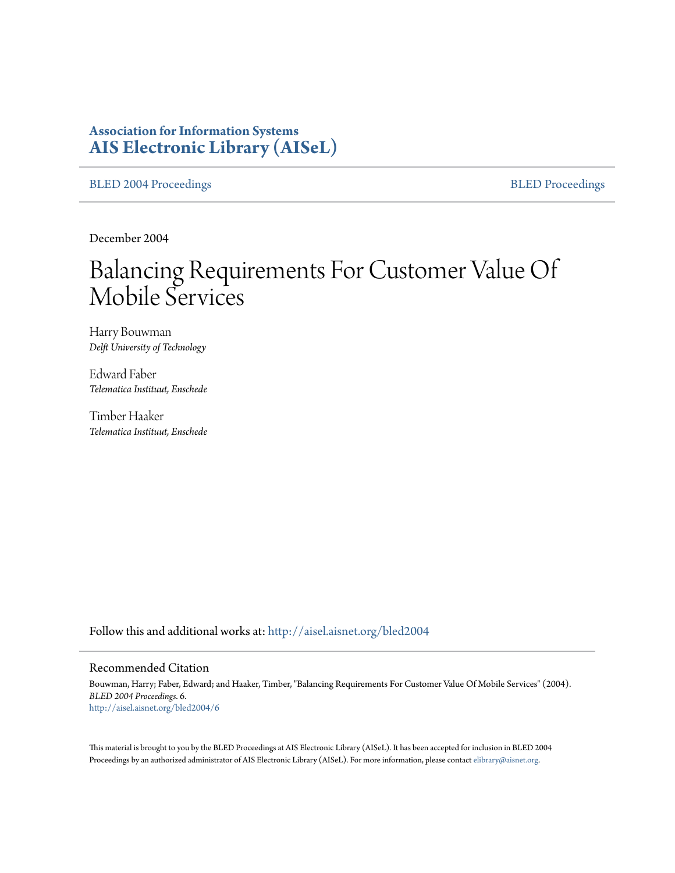# **Association for Information Systems [AIS Electronic Library \(AISeL\)](http://aisel.aisnet.org?utm_source=aisel.aisnet.org%2Fbled2004%2F6&utm_medium=PDF&utm_campaign=PDFCoverPages)**

[BLED 2004 Proceedings](http://aisel.aisnet.org/bled2004?utm_source=aisel.aisnet.org%2Fbled2004%2F6&utm_medium=PDF&utm_campaign=PDFCoverPages) **[BLED Proceedings](http://aisel.aisnet.org/bled?utm_source=aisel.aisnet.org%2Fbled2004%2F6&utm_medium=PDF&utm_campaign=PDFCoverPages)** 

December 2004

# Balancing Requirements For Customer Value Of Mobile Services

Harry Bouwman *Delft University of Technology*

Edward Faber *Telematica Instituut, Enschede*

Timber Haaker *Telematica Instituut, Enschede*

Follow this and additional works at: [http://aisel.aisnet.org/bled2004](http://aisel.aisnet.org/bled2004?utm_source=aisel.aisnet.org%2Fbled2004%2F6&utm_medium=PDF&utm_campaign=PDFCoverPages)

#### Recommended Citation

Bouwman, Harry; Faber, Edward; and Haaker, Timber, "Balancing Requirements For Customer Value Of Mobile Services" (2004). *BLED 2004 Proceedings*. 6. [http://aisel.aisnet.org/bled2004/6](http://aisel.aisnet.org/bled2004/6?utm_source=aisel.aisnet.org%2Fbled2004%2F6&utm_medium=PDF&utm_campaign=PDFCoverPages)

This material is brought to you by the BLED Proceedings at AIS Electronic Library (AISeL). It has been accepted for inclusion in BLED 2004 Proceedings by an authorized administrator of AIS Electronic Library (AISeL). For more information, please contact [elibrary@aisnet.org](mailto:elibrary@aisnet.org%3E).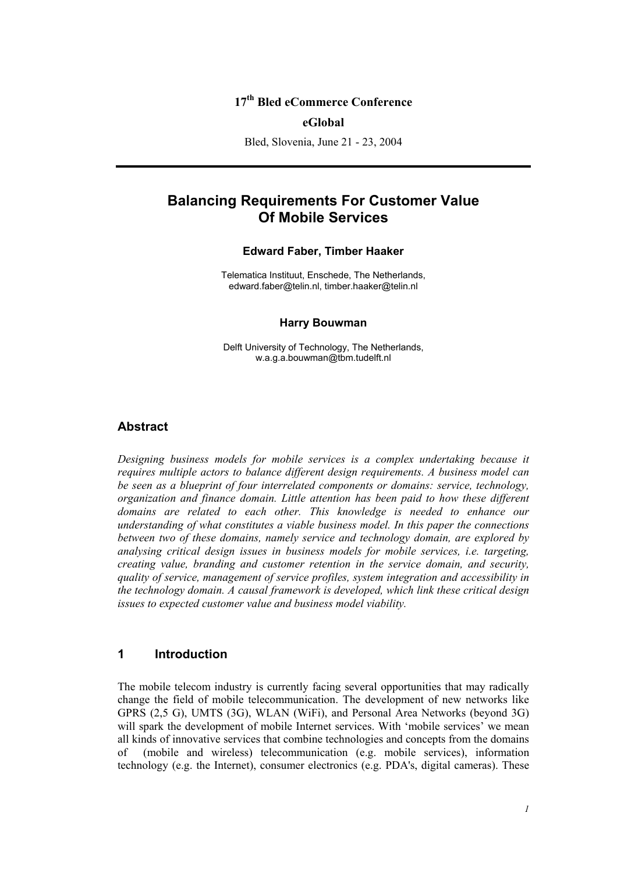## **17th Bled eCommerce Conference**

#### **eGlobal**

Bled, Slovenia, June 21 - 23, 2004

# **Balancing Requirements For Customer Value Of Mobile Services**

#### **Edward Faber, Timber Haaker**

Telematica Instituut, Enschede, The Netherlands, edward.faber@telin.nl, timber.haaker@telin.nl

#### **Harry Bouwman**

Delft University of Technology, The Netherlands, w.a.g.a.bouwman@tbm.tudelft.nl

## **Abstract**

*Designing business models for mobile services is a complex undertaking because it requires multiple actors to balance different design requirements. A business model can be seen as a blueprint of four interrelated components or domains: service, technology, organization and finance domain. Little attention has been paid to how these different domains are related to each other. This knowledge is needed to enhance our understanding of what constitutes a viable business model. In this paper the connections between two of these domains, namely service and technology domain, are explored by analysing critical design issues in business models for mobile services, i.e. targeting, creating value, branding and customer retention in the service domain, and security, quality of service, management of service profiles, system integration and accessibility in the technology domain. A causal framework is developed, which link these critical design issues to expected customer value and business model viability.* 

## **1 Introduction**

The mobile telecom industry is currently facing several opportunities that may radically change the field of mobile telecommunication. The development of new networks like GPRS (2,5 G), UMTS (3G), WLAN (WiFi), and Personal Area Networks (beyond 3G) will spark the development of mobile Internet services. With 'mobile services' we mean all kinds of innovative services that combine technologies and concepts from the domains of (mobile and wireless) telecommunication (e.g. mobile services), information technology (e.g. the Internet), consumer electronics (e.g. PDA's, digital cameras). These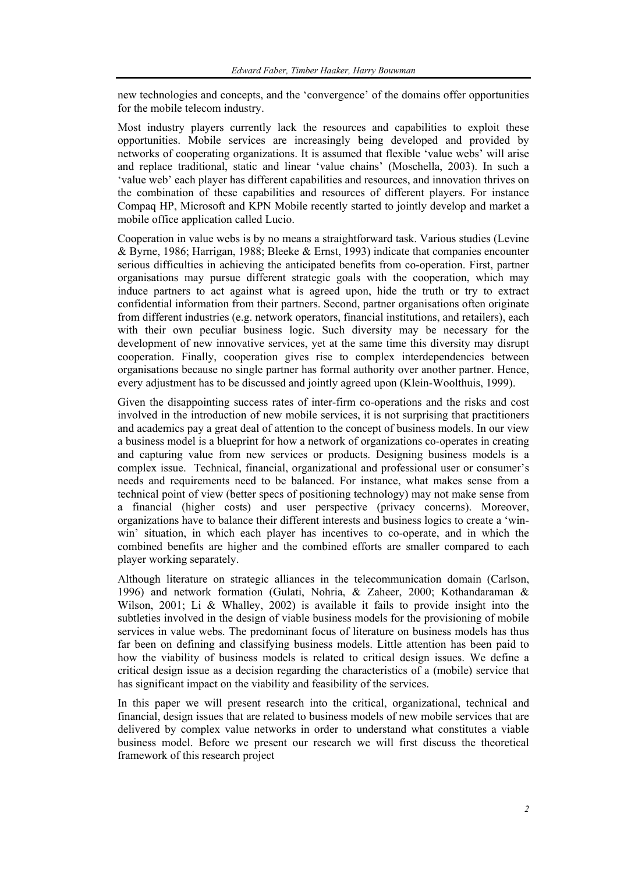new technologies and concepts, and the 'convergence' of the domains offer opportunities for the mobile telecom industry.

Most industry players currently lack the resources and capabilities to exploit these opportunities. Mobile services are increasingly being developed and provided by networks of cooperating organizations. It is assumed that flexible 'value webs' will arise and replace traditional, static and linear 'value chains' (Moschella, 2003). In such a 'value web' each player has different capabilities and resources, and innovation thrives on the combination of these capabilities and resources of different players. For instance Compaq HP, Microsoft and KPN Mobile recently started to jointly develop and market a mobile office application called Lucio.

Cooperation in value webs is by no means a straightforward task. Various studies (Levine & Byrne, 1986; Harrigan, 1988; Bleeke & Ernst, 1993) indicate that companies encounter serious difficulties in achieving the anticipated benefits from co-operation. First, partner organisations may pursue different strategic goals with the cooperation, which may induce partners to act against what is agreed upon, hide the truth or try to extract confidential information from their partners. Second, partner organisations often originate from different industries (e.g. network operators, financial institutions, and retailers), each with their own peculiar business logic. Such diversity may be necessary for the development of new innovative services, yet at the same time this diversity may disrupt cooperation. Finally, cooperation gives rise to complex interdependencies between organisations because no single partner has formal authority over another partner. Hence, every adjustment has to be discussed and jointly agreed upon (Klein-Woolthuis, 1999).

Given the disappointing success rates of inter-firm co-operations and the risks and cost involved in the introduction of new mobile services, it is not surprising that practitioners and academics pay a great deal of attention to the concept of business models. In our view a business model is a blueprint for how a network of organizations co-operates in creating and capturing value from new services or products. Designing business models is a complex issue. Technical, financial, organizational and professional user or consumer's needs and requirements need to be balanced. For instance, what makes sense from a technical point of view (better specs of positioning technology) may not make sense from a financial (higher costs) and user perspective (privacy concerns). Moreover, organizations have to balance their different interests and business logics to create a 'winwin' situation, in which each player has incentives to co-operate, and in which the combined benefits are higher and the combined efforts are smaller compared to each player working separately.

Although literature on strategic alliances in the telecommunication domain (Carlson, 1996) and network formation (Gulati, Nohria, & Zaheer, 2000; Kothandaraman & Wilson, 2001; Li & Whalley, 2002) is available it fails to provide insight into the subtleties involved in the design of viable business models for the provisioning of mobile services in value webs. The predominant focus of literature on business models has thus far been on defining and classifying business models. Little attention has been paid to how the viability of business models is related to critical design issues. We define a critical design issue as a decision regarding the characteristics of a (mobile) service that has significant impact on the viability and feasibility of the services.

In this paper we will present research into the critical, organizational, technical and financial, design issues that are related to business models of new mobile services that are delivered by complex value networks in order to understand what constitutes a viable business model. Before we present our research we will first discuss the theoretical framework of this research project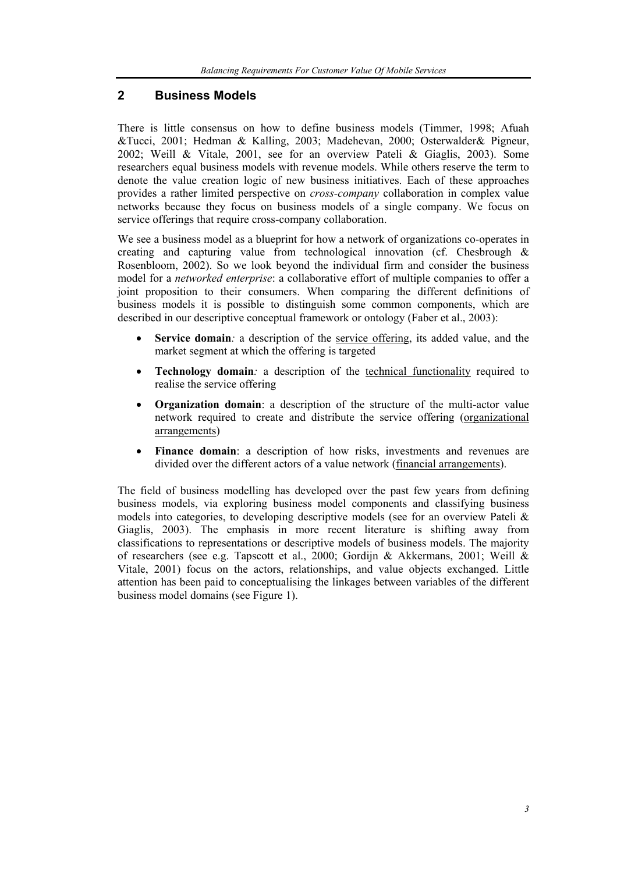# **2 Business Models**

There is little consensus on how to define business models (Timmer, 1998; Afuah &Tucci, 2001; Hedman & Kalling, 2003; Madehevan, 2000; Osterwalder& Pigneur, 2002; Weill & Vitale, 2001, see for an overview Pateli & Giaglis, 2003). Some researchers equal business models with revenue models. While others reserve the term to denote the value creation logic of new business initiatives. Each of these approaches provides a rather limited perspective on *cross-company* collaboration in complex value networks because they focus on business models of a single company. We focus on service offerings that require cross-company collaboration.

We see a business model as a blueprint for how a network of organizations co-operates in creating and capturing value from technological innovation (cf. Chesbrough & Rosenbloom, 2002). So we look beyond the individual firm and consider the business model for a *networked enterprise*: a collaborative effort of multiple companies to offer a joint proposition to their consumers. When comparing the different definitions of business models it is possible to distinguish some common components, which are described in our descriptive conceptual framework or ontology (Faber et al., 2003):

- **Service domain**: a description of the service offering, its added value, and the market segment at which the offering is targeted
- **Technology domain***:* a description of the technical functionality required to realise the service offering
- **Organization domain:** a description of the structure of the multi-actor value network required to create and distribute the service offering (organizational arrangements)
- **Finance domain**: a description of how risks, investments and revenues are divided over the different actors of a value network (financial arrangements).

The field of business modelling has developed over the past few years from defining business models, via exploring business model components and classifying business models into categories, to developing descriptive models (see for an overview Pateli & Giaglis, 2003). The emphasis in more recent literature is shifting away from classifications to representations or descriptive models of business models. The majority of researchers (see e.g. Tapscott et al., 2000; Gordijn & Akkermans, 2001; Weill & Vitale, 2001) focus on the actors, relationships, and value objects exchanged. Little attention has been paid to conceptualising the linkages between variables of the different business model domains (see Figure 1).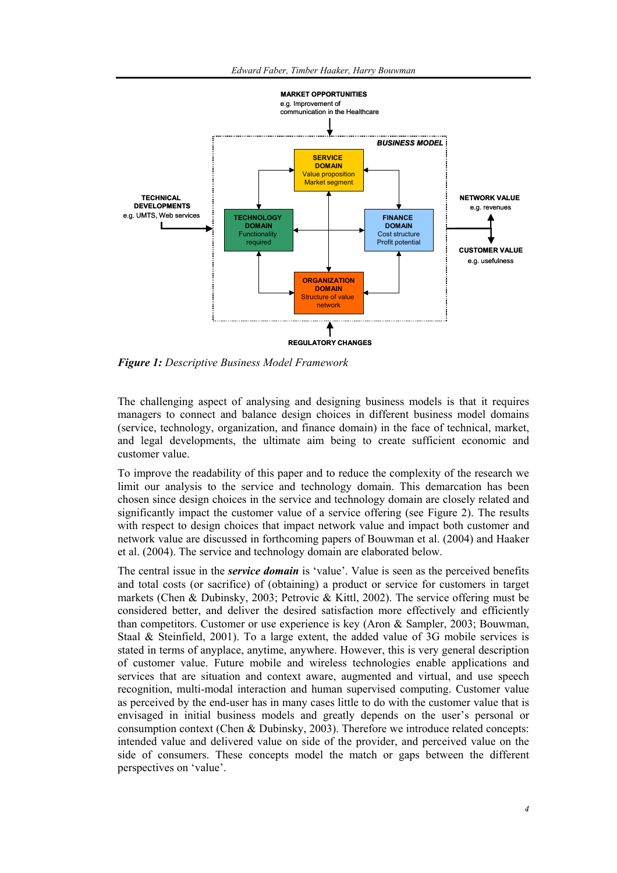

*Figure 1: Descriptive Business Model Framework* 

The challenging aspect of analysing and designing business models is that it requires managers to connect and balance design choices in different business model domains (service, technology, organization, and finance domain) in the face of technical, market, and legal developments, the ultimate aim being to create sufficient economic and customer value.

To improve the readability of this paper and to reduce the complexity of the research we limit our analysis to the service and technology domain. This demarcation has been chosen since design choices in the service and technology domain are closely related and significantly impact the customer value of a service offering (see Figure 2). The results with respect to design choices that impact network value and impact both customer and network value are discussed in forthcoming papers of Bouwman et al. (2004) and Haaker et al. (2004). The service and technology domain are elaborated below.

The central issue in the *service domain* is 'value'. Value is seen as the perceived benefits and total costs (or sacrifice) of (obtaining) a product or service for customers in target markets (Chen & Dubinsky, 2003; Petrovic & Kittl, 2002). The service offering must be considered better, and deliver the desired satisfaction more effectively and efficiently than competitors. Customer or use experience is key (Aron & Sampler, 2003; Bouwman, Staal  $\&$  Steinfield, 2001). To a large extent, the added value of 3G mobile services is stated in terms of anyplace, anytime, anywhere. However, this is very general description of customer value. Future mobile and wireless technologies enable applications and services that are situation and context aware, augmented and virtual, and use speech recognition, multi-modal interaction and human supervised computing. Customer value as perceived by the end-user has in many cases little to do with the customer value that is envisaged in initial business models and greatly depends on the user's personal or consumption context (Chen & Dubinsky, 2003). Therefore we introduce related concepts: intended value and delivered value on side of the provider, and perceived value on the side of consumers. These concepts model the match or gaps between the different perspectives on 'value'.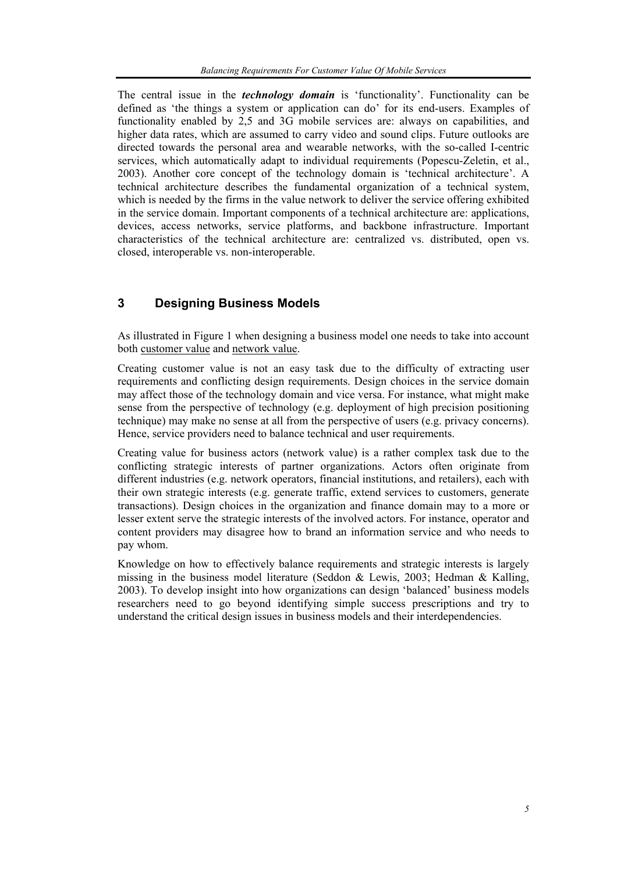The central issue in the *technology domain* is 'functionality'. Functionality can be defined as 'the things a system or application can do' for its end-users. Examples of functionality enabled by 2,5 and 3G mobile services are: always on capabilities, and higher data rates, which are assumed to carry video and sound clips. Future outlooks are directed towards the personal area and wearable networks, with the so-called I-centric services, which automatically adapt to individual requirements (Popescu-Zeletin, et al., 2003). Another core concept of the technology domain is 'technical architecture'. A technical architecture describes the fundamental organization of a technical system, which is needed by the firms in the value network to deliver the service offering exhibited in the service domain. Important components of a technical architecture are: applications, devices, access networks, service platforms, and backbone infrastructure. Important characteristics of the technical architecture are: centralized vs. distributed, open vs. closed, interoperable vs. non-interoperable.

## **3 Designing Business Models**

As illustrated in Figure 1 when designing a business model one needs to take into account both customer value and network value.

Creating customer value is not an easy task due to the difficulty of extracting user requirements and conflicting design requirements. Design choices in the service domain may affect those of the technology domain and vice versa. For instance, what might make sense from the perspective of technology (e.g. deployment of high precision positioning technique) may make no sense at all from the perspective of users (e.g. privacy concerns). Hence, service providers need to balance technical and user requirements.

Creating value for business actors (network value) is a rather complex task due to the conflicting strategic interests of partner organizations. Actors often originate from different industries (e.g. network operators, financial institutions, and retailers), each with their own strategic interests (e.g. generate traffic, extend services to customers, generate transactions). Design choices in the organization and finance domain may to a more or lesser extent serve the strategic interests of the involved actors. For instance, operator and content providers may disagree how to brand an information service and who needs to pay whom.

Knowledge on how to effectively balance requirements and strategic interests is largely missing in the business model literature (Seddon & Lewis, 2003; Hedman & Kalling, 2003). To develop insight into how organizations can design 'balanced' business models researchers need to go beyond identifying simple success prescriptions and try to understand the critical design issues in business models and their interdependencies.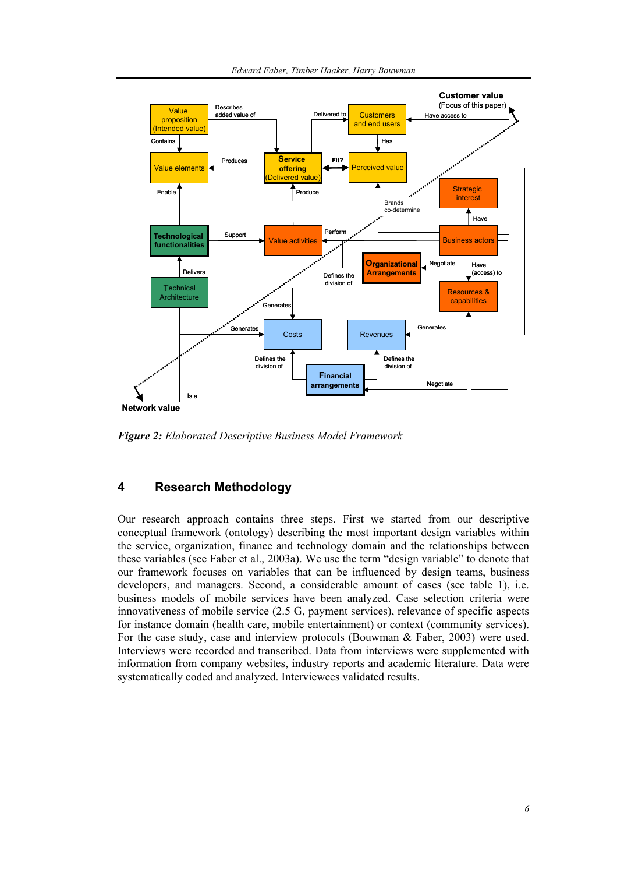

*Edward Faber, Timber Haaker, Harry Bouwman* 

*Figure 2: Elaborated Descriptive Business Model Framework* 

## **4 Research Methodology**

Our research approach contains three steps. First we started from our descriptive conceptual framework (ontology) describing the most important design variables within the service, organization, finance and technology domain and the relationships between these variables (see Faber et al., 2003a). We use the term "design variable" to denote that our framework focuses on variables that can be influenced by design teams, business developers, and managers. Second, a considerable amount of cases (see table 1), i.e. business models of mobile services have been analyzed. Case selection criteria were innovativeness of mobile service (2.5 G, payment services), relevance of specific aspects for instance domain (health care, mobile entertainment) or context (community services). For the case study, case and interview protocols (Bouwman & Faber, 2003) were used. Interviews were recorded and transcribed. Data from interviews were supplemented with information from company websites, industry reports and academic literature. Data were systematically coded and analyzed. Interviewees validated results.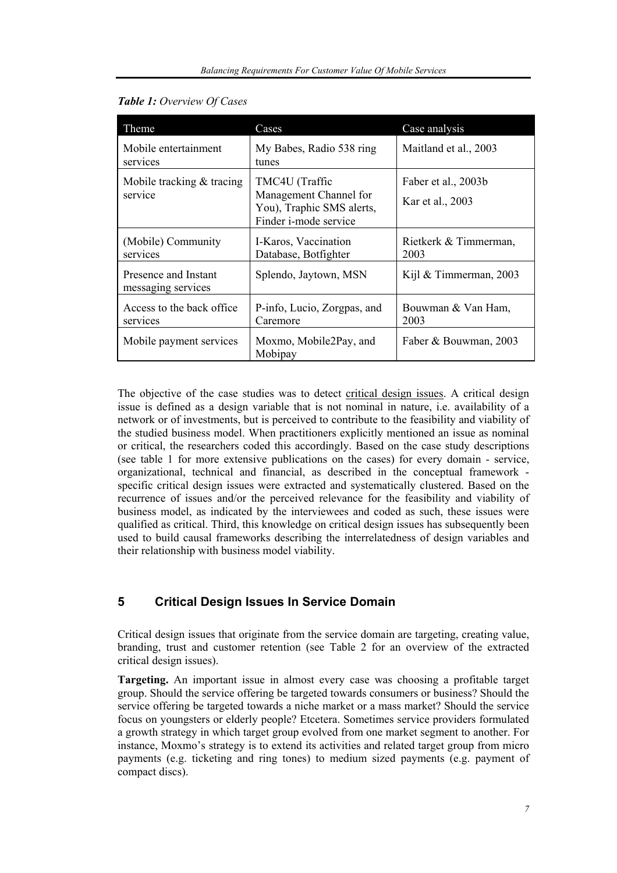| Theme                                      | Cases                                                                                                  | Case analysis                           |  |
|--------------------------------------------|--------------------------------------------------------------------------------------------------------|-----------------------------------------|--|
| Mobile entertainment<br>services           | My Babes, Radio 538 ring<br>tunes                                                                      | Maitland et al., 2003                   |  |
| Mobile tracking $&$ tracing<br>service     | TMC4U (Traffic<br>Management Channel for<br>You), Traphic SMS alerts,<br>Finder <i>i</i> -mode service | Faber et al., 2003b<br>Kar et al., 2003 |  |
| (Mobile) Community<br>services             | I-Karos, Vaccination<br>Database, Botfighter                                                           | Rietkerk & Timmerman,<br>2003           |  |
| Presence and Instant<br>messaging services | Splendo, Jaytown, MSN                                                                                  | Kijl & Timmerman, 2003                  |  |
| Access to the back office.<br>services     | P-info, Lucio, Zorgpas, and<br>Caremore                                                                | Bouwman & Van Ham,<br>2003              |  |
| Mobile payment services                    | Moxmo, Mobile2Pay, and<br>Mobipay                                                                      | Faber & Bouwman, 2003                   |  |

|  |  | <b>Table 1:</b> Overview Of Cases |  |  |
|--|--|-----------------------------------|--|--|
|--|--|-----------------------------------|--|--|

The objective of the case studies was to detect critical design issues. A critical design issue is defined as a design variable that is not nominal in nature, i.e. availability of a network or of investments, but is perceived to contribute to the feasibility and viability of the studied business model. When practitioners explicitly mentioned an issue as nominal or critical, the researchers coded this accordingly. Based on the case study descriptions (see table 1 for more extensive publications on the cases) for every domain - service, organizational, technical and financial, as described in the conceptual framework specific critical design issues were extracted and systematically clustered. Based on the recurrence of issues and/or the perceived relevance for the feasibility and viability of business model, as indicated by the interviewees and coded as such, these issues were qualified as critical. Third, this knowledge on critical design issues has subsequently been used to build causal frameworks describing the interrelatedness of design variables and their relationship with business model viability.

# **5 Critical Design Issues In Service Domain**

Critical design issues that originate from the service domain are targeting, creating value, branding, trust and customer retention (see Table 2 for an overview of the extracted critical design issues).

**Targeting.** An important issue in almost every case was choosing a profitable target group. Should the service offering be targeted towards consumers or business? Should the service offering be targeted towards a niche market or a mass market? Should the service focus on youngsters or elderly people? Etcetera. Sometimes service providers formulated a growth strategy in which target group evolved from one market segment to another. For instance, Moxmo's strategy is to extend its activities and related target group from micro payments (e.g. ticketing and ring tones) to medium sized payments (e.g. payment of compact discs).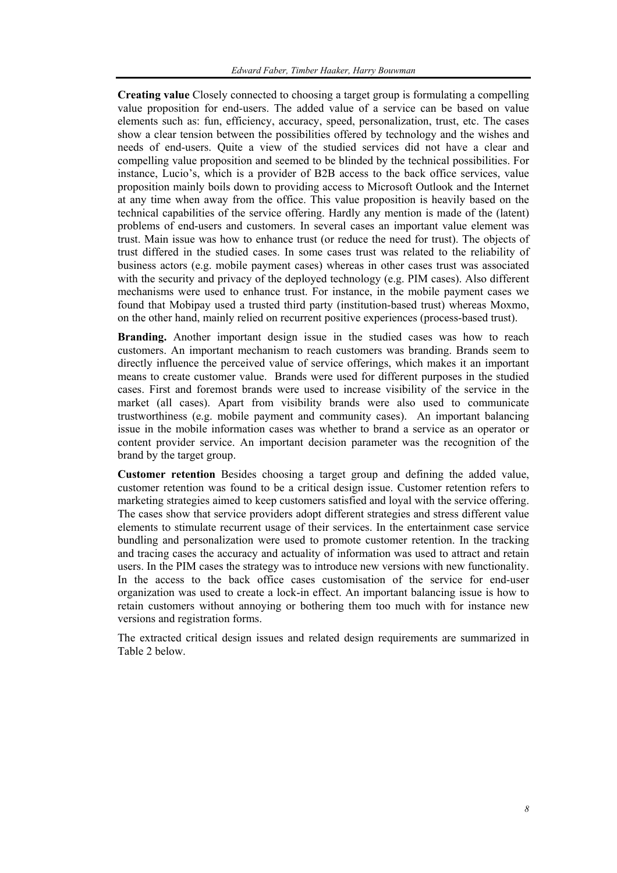**Creating value** Closely connected to choosing a target group is formulating a compelling value proposition for end-users. The added value of a service can be based on value elements such as: fun, efficiency, accuracy, speed, personalization, trust, etc. The cases show a clear tension between the possibilities offered by technology and the wishes and needs of end-users. Quite a view of the studied services did not have a clear and compelling value proposition and seemed to be blinded by the technical possibilities. For instance, Lucio's, which is a provider of B2B access to the back office services, value proposition mainly boils down to providing access to Microsoft Outlook and the Internet at any time when away from the office. This value proposition is heavily based on the technical capabilities of the service offering. Hardly any mention is made of the (latent) problems of end-users and customers. In several cases an important value element was trust. Main issue was how to enhance trust (or reduce the need for trust). The objects of trust differed in the studied cases. In some cases trust was related to the reliability of business actors (e.g. mobile payment cases) whereas in other cases trust was associated with the security and privacy of the deployed technology (e.g. PIM cases). Also different mechanisms were used to enhance trust. For instance, in the mobile payment cases we found that Mobipay used a trusted third party (institution-based trust) whereas Moxmo, on the other hand, mainly relied on recurrent positive experiences (process-based trust).

**Branding.** Another important design issue in the studied cases was how to reach customers. An important mechanism to reach customers was branding. Brands seem to directly influence the perceived value of service offerings, which makes it an important means to create customer value. Brands were used for different purposes in the studied cases. First and foremost brands were used to increase visibility of the service in the market (all cases). Apart from visibility brands were also used to communicate trustworthiness (e.g. mobile payment and community cases). An important balancing issue in the mobile information cases was whether to brand a service as an operator or content provider service. An important decision parameter was the recognition of the brand by the target group.

**Customer retention** Besides choosing a target group and defining the added value, customer retention was found to be a critical design issue. Customer retention refers to marketing strategies aimed to keep customers satisfied and loyal with the service offering. The cases show that service providers adopt different strategies and stress different value elements to stimulate recurrent usage of their services. In the entertainment case service bundling and personalization were used to promote customer retention. In the tracking and tracing cases the accuracy and actuality of information was used to attract and retain users. In the PIM cases the strategy was to introduce new versions with new functionality. In the access to the back office cases customisation of the service for end-user organization was used to create a lock-in effect. An important balancing issue is how to retain customers without annoying or bothering them too much with for instance new versions and registration forms.

The extracted critical design issues and related design requirements are summarized in Table 2 below.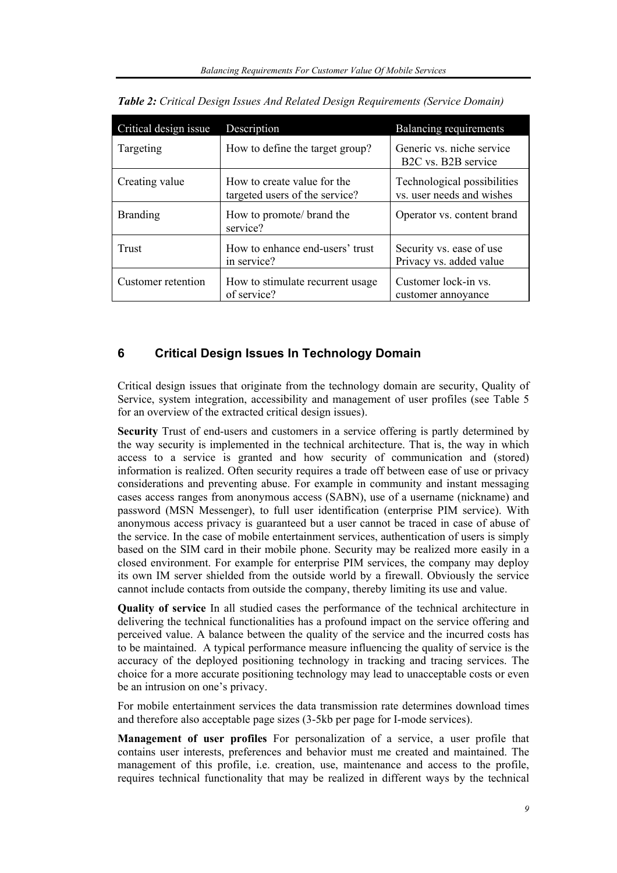| Critical design issue | Description                                                   | Balancing requirements                                                     |
|-----------------------|---------------------------------------------------------------|----------------------------------------------------------------------------|
| Targeting             | How to define the target group?                               | Generic vs. niche service<br>B <sub>2</sub> C vs. B <sub>2</sub> B service |
| Creating value        | How to create value for the<br>targeted users of the service? | Technological possibilities<br>vs. user needs and wishes                   |
| <b>Branding</b>       | How to promote/ brand the<br>service?                         | Operator vs. content brand                                                 |
| Trust                 | How to enhance end-users' trust<br>in service?                | Security vs. ease of use<br>Privacy vs. added value                        |
| Customer retention    | How to stimulate recurrent usage<br>of service?               | Customer lock-in vs.<br>customer annoyance                                 |

| Table 2: Critical Design Issues And Related Design Requirements (Service Domain) |  |  |  |  |  |  |  |
|----------------------------------------------------------------------------------|--|--|--|--|--|--|--|
|----------------------------------------------------------------------------------|--|--|--|--|--|--|--|

# **6 Critical Design Issues In Technology Domain**

Critical design issues that originate from the technology domain are security, Quality of Service, system integration, accessibility and management of user profiles (see Table 5 for an overview of the extracted critical design issues).

**Security** Trust of end-users and customers in a service offering is partly determined by the way security is implemented in the technical architecture. That is, the way in which access to a service is granted and how security of communication and (stored) information is realized. Often security requires a trade off between ease of use or privacy considerations and preventing abuse. For example in community and instant messaging cases access ranges from anonymous access (SABN), use of a username (nickname) and password (MSN Messenger), to full user identification (enterprise PIM service). With anonymous access privacy is guaranteed but a user cannot be traced in case of abuse of the service. In the case of mobile entertainment services, authentication of users is simply based on the SIM card in their mobile phone. Security may be realized more easily in a closed environment. For example for enterprise PIM services, the company may deploy its own IM server shielded from the outside world by a firewall. Obviously the service cannot include contacts from outside the company, thereby limiting its use and value.

**Quality of service** In all studied cases the performance of the technical architecture in delivering the technical functionalities has a profound impact on the service offering and perceived value. A balance between the quality of the service and the incurred costs has to be maintained. A typical performance measure influencing the quality of service is the accuracy of the deployed positioning technology in tracking and tracing services. The choice for a more accurate positioning technology may lead to unacceptable costs or even be an intrusion on one's privacy.

For mobile entertainment services the data transmission rate determines download times and therefore also acceptable page sizes (3-5kb per page for I-mode services).

**Management of user profiles** For personalization of a service, a user profile that contains user interests, preferences and behavior must me created and maintained. The management of this profile, i.e. creation, use, maintenance and access to the profile, requires technical functionality that may be realized in different ways by the technical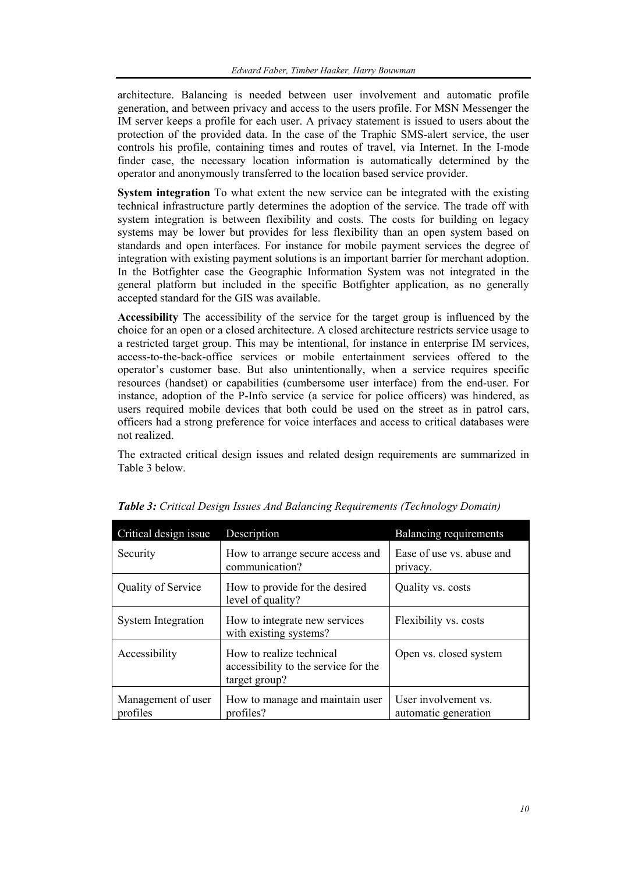architecture. Balancing is needed between user involvement and automatic profile generation, and between privacy and access to the users profile. For MSN Messenger the IM server keeps a profile for each user. A privacy statement is issued to users about the protection of the provided data. In the case of the Traphic SMS-alert service, the user controls his profile, containing times and routes of travel, via Internet. In the I-mode finder case, the necessary location information is automatically determined by the operator and anonymously transferred to the location based service provider.

**System integration** To what extent the new service can be integrated with the existing technical infrastructure partly determines the adoption of the service. The trade off with system integration is between flexibility and costs. The costs for building on legacy systems may be lower but provides for less flexibility than an open system based on standards and open interfaces. For instance for mobile payment services the degree of integration with existing payment solutions is an important barrier for merchant adoption. In the Botfighter case the Geographic Information System was not integrated in the general platform but included in the specific Botfighter application, as no generally accepted standard for the GIS was available.

**Accessibility** The accessibility of the service for the target group is influenced by the choice for an open or a closed architecture. A closed architecture restricts service usage to a restricted target group. This may be intentional, for instance in enterprise IM services, access-to-the-back-office services or mobile entertainment services offered to the operator's customer base. But also unintentionally, when a service requires specific resources (handset) or capabilities (cumbersome user interface) from the end-user. For instance, adoption of the P-Info service (a service for police officers) was hindered, as users required mobile devices that both could be used on the street as in patrol cars, officers had a strong preference for voice interfaces and access to critical databases were not realized.

The extracted critical design issues and related design requirements are summarized in Table 3 below.

| Critical design issue          | Description                                                                       | <b>Balancing requirements</b>                |
|--------------------------------|-----------------------------------------------------------------------------------|----------------------------------------------|
| Security                       | How to arrange secure access and<br>communication?                                | Ease of use vs. abuse and<br>privacy.        |
| Quality of Service             | How to provide for the desired<br>level of quality?                               | Quality vs. costs                            |
| <b>System Integration</b>      | How to integrate new services<br>with existing systems?                           | Flexibility vs. costs                        |
| Accessibility                  | How to realize technical<br>accessibility to the service for the<br>target group? | Open vs. closed system                       |
| Management of user<br>profiles | How to manage and maintain user<br>profiles?                                      | User involvement vs.<br>automatic generation |

*Table 3: Critical Design Issues And Balancing Requirements (Technology Domain)*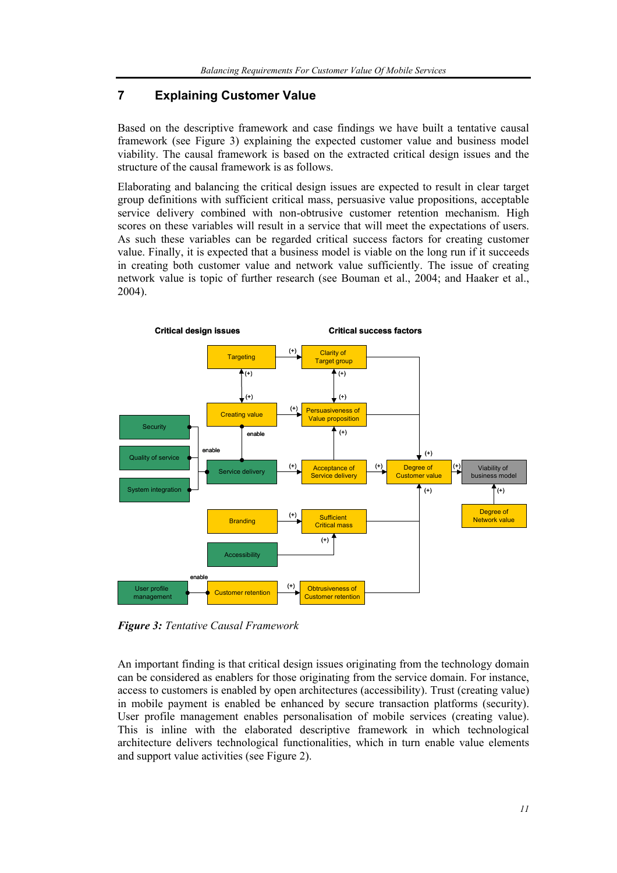## **7 Explaining Customer Value**

Based on the descriptive framework and case findings we have built a tentative causal framework (see Figure 3) explaining the expected customer value and business model viability. The causal framework is based on the extracted critical design issues and the structure of the causal framework is as follows.

Elaborating and balancing the critical design issues are expected to result in clear target group definitions with sufficient critical mass, persuasive value propositions, acceptable service delivery combined with non-obtrusive customer retention mechanism. High scores on these variables will result in a service that will meet the expectations of users. As such these variables can be regarded critical success factors for creating customer value. Finally, it is expected that a business model is viable on the long run if it succeeds in creating both customer value and network value sufficiently. The issue of creating network value is topic of further research (see Bouman et al., 2004; and Haaker et al., 2004).



*Figure 3: Tentative Causal Framework* 

An important finding is that critical design issues originating from the technology domain can be considered as enablers for those originating from the service domain. For instance, access to customers is enabled by open architectures (accessibility). Trust (creating value) in mobile payment is enabled be enhanced by secure transaction platforms (security). User profile management enables personalisation of mobile services (creating value). This is inline with the elaborated descriptive framework in which technological architecture delivers technological functionalities, which in turn enable value elements and support value activities (see Figure 2).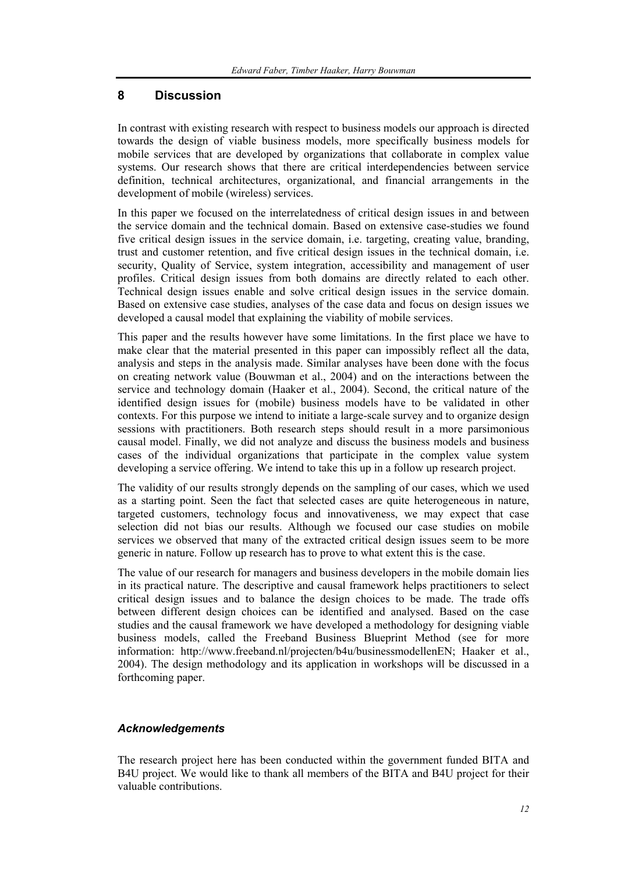## **8 Discussion**

In contrast with existing research with respect to business models our approach is directed towards the design of viable business models, more specifically business models for mobile services that are developed by organizations that collaborate in complex value systems. Our research shows that there are critical interdependencies between service definition, technical architectures, organizational, and financial arrangements in the development of mobile (wireless) services.

In this paper we focused on the interrelatedness of critical design issues in and between the service domain and the technical domain. Based on extensive case-studies we found five critical design issues in the service domain, i.e. targeting, creating value, branding, trust and customer retention, and five critical design issues in the technical domain, i.e. security, Quality of Service, system integration, accessibility and management of user profiles. Critical design issues from both domains are directly related to each other. Technical design issues enable and solve critical design issues in the service domain. Based on extensive case studies, analyses of the case data and focus on design issues we developed a causal model that explaining the viability of mobile services.

This paper and the results however have some limitations. In the first place we have to make clear that the material presented in this paper can impossibly reflect all the data, analysis and steps in the analysis made. Similar analyses have been done with the focus on creating network value (Bouwman et al., 2004) and on the interactions between the service and technology domain (Haaker et al., 2004). Second, the critical nature of the identified design issues for (mobile) business models have to be validated in other contexts. For this purpose we intend to initiate a large-scale survey and to organize design sessions with practitioners. Both research steps should result in a more parsimonious causal model. Finally, we did not analyze and discuss the business models and business cases of the individual organizations that participate in the complex value system developing a service offering. We intend to take this up in a follow up research project.

The validity of our results strongly depends on the sampling of our cases, which we used as a starting point. Seen the fact that selected cases are quite heterogeneous in nature, targeted customers, technology focus and innovativeness, we may expect that case selection did not bias our results. Although we focused our case studies on mobile services we observed that many of the extracted critical design issues seem to be more generic in nature. Follow up research has to prove to what extent this is the case.

The value of our research for managers and business developers in the mobile domain lies in its practical nature. The descriptive and causal framework helps practitioners to select critical design issues and to balance the design choices to be made. The trade offs between different design choices can be identified and analysed. Based on the case studies and the causal framework we have developed a methodology for designing viable business models, called the Freeband Business Blueprint Method (see for more information: http://www.freeband.nl/projecten/b4u/businessmodellenEN; Haaker et al., 2004). The design methodology and its application in workshops will be discussed in a forthcoming paper.

#### *Acknowledgements*

The research project here has been conducted within the government funded BITA and B4U project. We would like to thank all members of the BITA and B4U project for their valuable contributions.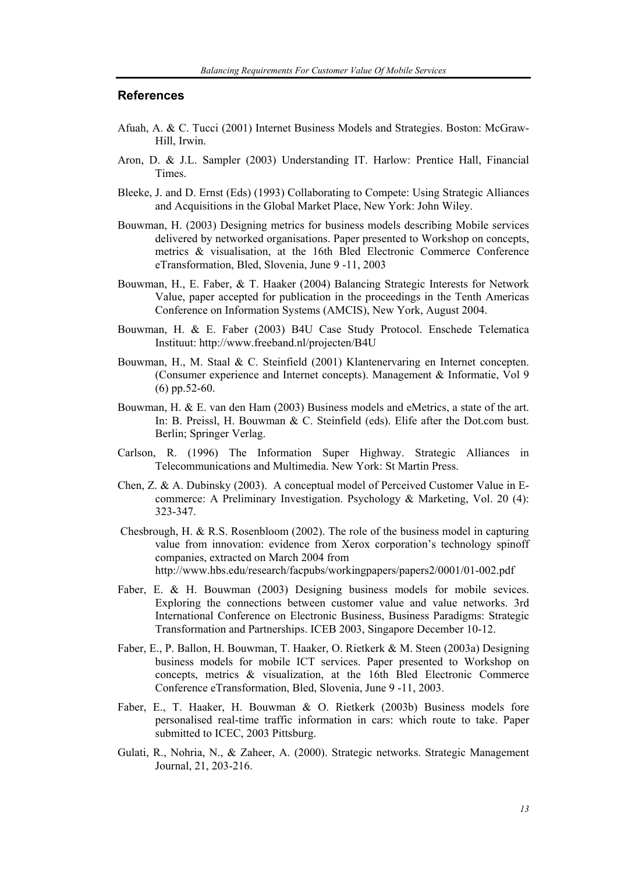#### **References**

- Afuah, A. & C. Tucci (2001) Internet Business Models and Strategies. Boston: McGraw-Hill, Irwin.
- Aron, D. & J.L. Sampler (2003) Understanding IT. Harlow: Prentice Hall, Financial Times.
- Bleeke, J. and D. Ernst (Eds) (1993) Collaborating to Compete: Using Strategic Alliances and Acquisitions in the Global Market Place, New York: John Wiley.
- Bouwman, H. (2003) Designing metrics for business models describing Mobile services delivered by networked organisations. Paper presented to Workshop on concepts, metrics & visualisation, at the 16th Bled Electronic Commerce Conference eTransformation, Bled, Slovenia, June 9 -11, 2003
- Bouwman, H., E. Faber, & T. Haaker (2004) Balancing Strategic Interests for Network Value, paper accepted for publication in the proceedings in the Tenth Americas Conference on Information Systems (AMCIS), New York, August 2004.
- Bouwman, H. & E. Faber (2003) B4U Case Study Protocol. Enschede Telematica Instituut: http://www.freeband.nl/projecten/B4U
- Bouwman, H., M. Staal & C. Steinfield (2001) Klantenervaring en Internet concepten. (Consumer experience and Internet concepts). Management & Informatie, Vol 9 (6) pp.52-60.
- Bouwman, H. & E. van den Ham (2003) Business models and eMetrics, a state of the art. In: B. Preissl, H. Bouwman & C. Steinfield (eds). Elife after the Dot.com bust. Berlin; Springer Verlag.
- Carlson, R. (1996) The Information Super Highway. Strategic Alliances in Telecommunications and Multimedia. New York: St Martin Press.
- Chen, Z. & A. Dubinsky (2003). A conceptual model of Perceived Customer Value in Ecommerce: A Preliminary Investigation. Psychology & Marketing, Vol. 20 (4): 323-347.
- Chesbrough, H. & R.S. Rosenbloom (2002). The role of the business model in capturing value from innovation: evidence from Xerox corporation's technology spinoff companies, extracted on March 2004 from http://www.hbs.edu/research/facpubs/workingpapers/papers2/0001/01-002.pdf
- Faber, E. & H. Bouwman (2003) Designing business models for mobile sevices. Exploring the connections between customer value and value networks. 3rd International Conference on Electronic Business, Business Paradigms: Strategic Transformation and Partnerships. ICEB 2003, Singapore December 10-12.
- Faber, E., P. Ballon, H. Bouwman, T. Haaker, O. Rietkerk & M. Steen (2003a) Designing business models for mobile ICT services. Paper presented to Workshop on concepts, metrics & visualization, at the 16th Bled Electronic Commerce Conference eTransformation, Bled, Slovenia, June 9 -11, 2003.
- Faber, E., T. Haaker, H. Bouwman & O. Rietkerk (2003b) Business models fore personalised real-time traffic information in cars: which route to take. Paper submitted to ICEC, 2003 Pittsburg.
- Gulati, R., Nohria, N., & Zaheer, A. (2000). Strategic networks. Strategic Management Journal, 21, 203-216.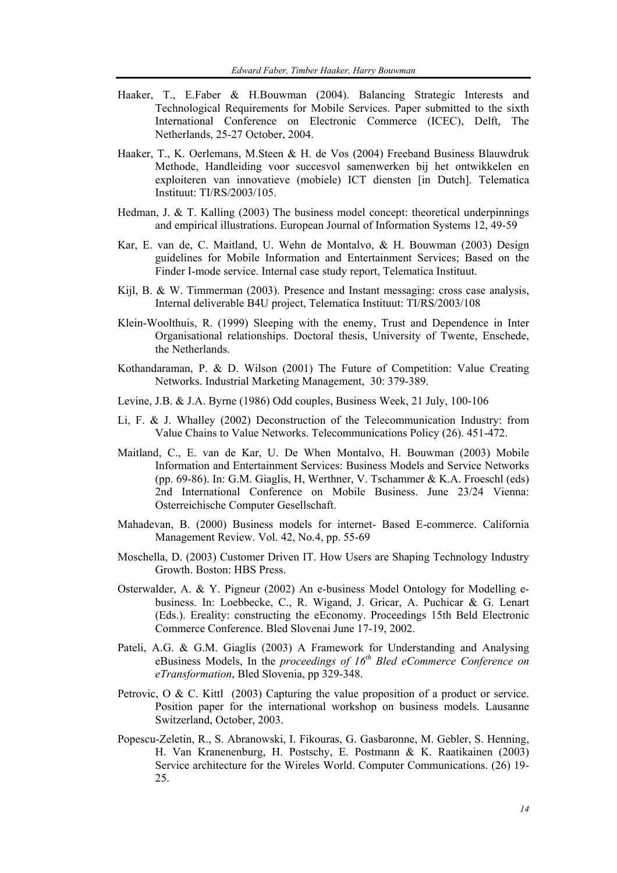- Haaker, T., E.Faber & H.Bouwman (2004). Balancing Strategic Interests and Technological Requirements for Mobile Services. Paper submitted to the sixth International Conference on Electronic Commerce (ICEC), Delft, The Netherlands, 25-27 October, 2004.
- Haaker, T., K. Oerlemans, M.Steen & H. de Vos (2004) Freeband Business Blauwdruk Methode, Handleiding voor succesvol samenwerken bij het ontwikkelen en exploiteren van innovatieve (mobiele) ICT diensten [in Dutch]. Telematica Instituut: TI/RS/2003/105.
- Hedman, J. & T. Kalling (2003) The business model concept: theoretical underpinnings and empirical illustrations. European Journal of Information Systems 12, 49-59
- Kar, E. van de, C. Maitland, U. Wehn de Montalvo, & H. Bouwman (2003) Design guidelines for Mobile Information and Entertainment Services; Based on the Finder I-mode service. Internal case study report, Telematica Instituut.
- Kijl, B. & W. Timmerman (2003). Presence and Instant messaging: cross case analysis, Internal deliverable B4U project, Telematica Instituut: TI/RS/2003/108
- Klein-Woolthuis, R. (1999) Sleeping with the enemy, Trust and Dependence in Inter Organisational relationships. Doctoral thesis, University of Twente, Enschede, the Netherlands.
- Kothandaraman, P. & D. Wilson (2001) The Future of Competition: Value Creating Networks. Industrial Marketing Management, 30: 379-389.
- Levine, J.B. & J.A. Byrne (1986) Odd couples, Business Week, 21 July, 100-106
- Li, F. & J. Whalley (2002) Deconstruction of the Telecommunication Industry: from Value Chains to Value Networks. Telecommunications Policy (26). 451-472.
- Maitland, C., E. van de Kar, U. De When Montalvo, H. Bouwman (2003) Mobile Information and Entertainment Services: Business Models and Service Networks (pp. 69-86). In: G.M. Giaglis, H, Werthner, V. Tschammer & K.A. Froeschl (eds) 2nd International Conference on Mobile Business. June 23/24 Vienna: Osterreichische Computer Gesellschaft.
- Mahadevan, B. (2000) Business models for internet- Based E-commerce. California Management Review. Vol. 42, No.4, pp. 55-69
- Moschella, D. (2003) Customer Driven IT. How Users are Shaping Technology Industry Growth. Boston: HBS Press.
- Osterwalder, A. & Y. Pigneur (2002) An e-business Model Ontology for Modelling ebusiness. In: Loebbecke, C., R. Wigand, J. Gricar, A. Puchicar & G. Lenart (Eds.). Ereality: constructing the eEconomy. Proceedings 15th Beld Electronic Commerce Conference. Bled Slovenai June 17-19, 2002.
- Pateli, A.G. & G.M. Giaglis (2003) A Framework for Understanding and Analysing eBusiness Models, In the *proceedings of 16th Bled eCommerce Conference on eTransformation*, Bled Slovenia, pp 329-348.
- Petrovic, O & C. Kittl (2003) Capturing the value proposition of a product or service. Position paper for the international workshop on business models. Lausanne Switzerland, October, 2003.
- Popescu-Zeletin, R., S. Abranowski, I. Fikouras, G. Gasbaronne, M. Gebler, S. Henning, H. Van Kranenenburg, H. Postschy, E. Postmann & K. Raatikainen (2003) Service architecture for the Wireles World. Computer Communications. (26) 19- 25.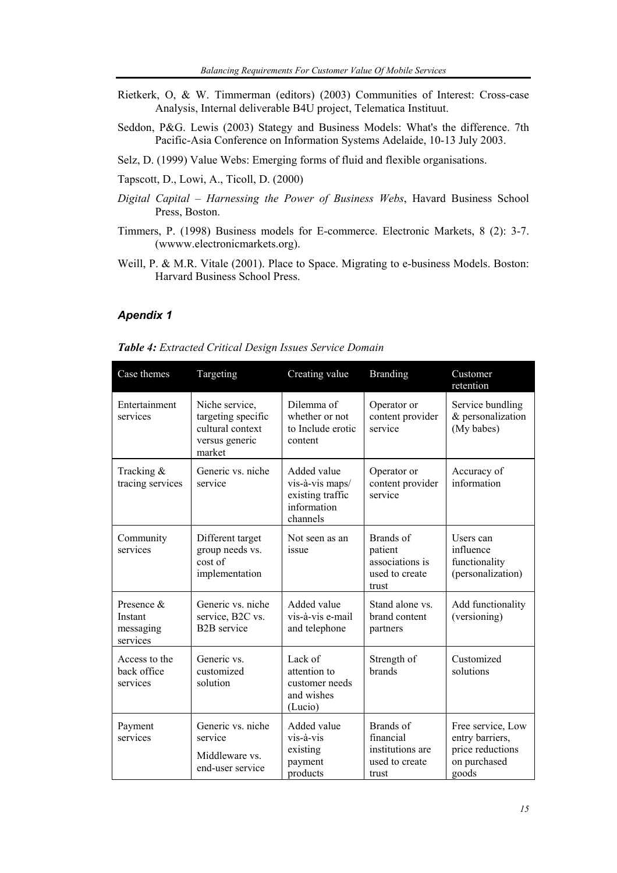- Rietkerk, O, & W. Timmerman (editors) (2003) Communities of Interest: Cross-case Analysis, Internal deliverable B4U project, Telematica Instituut.
- Seddon, P&G. Lewis (2003) Stategy and Business Models: What's the difference. 7th Pacific-Asia Conference on Information Systems Adelaide, 10-13 July 2003.
- Selz, D. (1999) Value Webs: Emerging forms of fluid and flexible organisations.

Tapscott, D., Lowi, A., Ticoll, D. (2000)

- *Digital Capital Harnessing the Power of Business Webs*, Havard Business School Press, Boston.
- Timmers, P. (1998) Business models for E-commerce. Electronic Markets, 8 (2): 3-7. (wwww.electronicmarkets.org).
- Weill, P. & M.R. Vitale (2001). Place to Space. Migrating to e-business Models. Boston: Harvard Business School Press.

### *Apendix 1*

| Case themes                                    | Targeting                                                                            | Creating value                                                                | <b>Branding</b>                                                       | Customer<br>retention                                                             |
|------------------------------------------------|--------------------------------------------------------------------------------------|-------------------------------------------------------------------------------|-----------------------------------------------------------------------|-----------------------------------------------------------------------------------|
| Entertainment<br>services                      | Niche service,<br>targeting specific<br>cultural context<br>versus generic<br>market | Dilemma of<br>whether or not<br>to Include erotic<br>content                  | Operator or<br>content provider<br>service                            | Service bundling<br>& personalization<br>(My babes)                               |
| Tracking $&$<br>tracing services               | Generic vs. niche<br>service                                                         | Added value<br>vis-à-vis maps/<br>existing traffic<br>information<br>channels | Operator or<br>content provider<br>service                            | Accuracy of<br>information                                                        |
| Community<br>services                          | Different target<br>group needs vs.<br>cost of<br>implementation                     | Not seen as an<br>issue                                                       | Brands of<br>patient<br>associations is<br>used to create<br>trust    | Users can<br>influence<br>functionality<br>(personalization)                      |
| Presence &<br>Instant<br>messaging<br>services | Generic vs. niche<br>service, B2C vs.<br>B <sub>2</sub> B service                    | Added value<br>vis-à-vis e-mail<br>and telephone                              | Stand alone vs.<br>brand content<br>partners                          | Add functionality<br>(versioning)                                                 |
| Access to the<br>back office<br>services       | Generic vs.<br>customized<br>solution                                                | Lack of<br>attention to<br>customer needs<br>and wishes<br>(Lucio)            | Strength of<br>brands                                                 | Customized<br>solutions                                                           |
| Payment<br>services                            | Generic vs. niche<br>service<br>Middleware vs.<br>end-user service                   | Added value<br>vis-à-vis<br>existing<br>payment<br>products                   | Brands of<br>financial<br>institutions are<br>used to create<br>trust | Free service, Low<br>entry barriers,<br>price reductions<br>on purchased<br>goods |